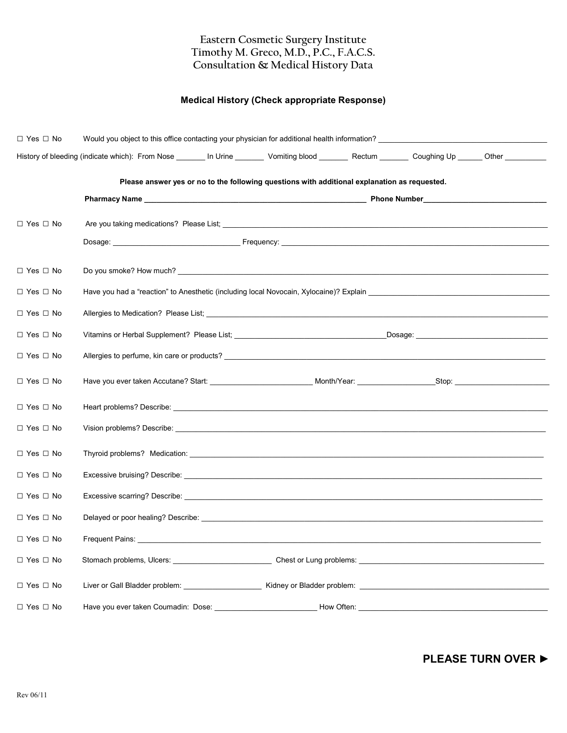## Eastern Cosmetic Surgery Institute Timothy M. Greco, M.D., P.C., F.A.C.S. Consultation & Medical History Data

## Medical History (Check appropriate Response)

| $\Box$ Yes $\Box$ No |                                                                                                                                                                                                                                |
|----------------------|--------------------------------------------------------------------------------------------------------------------------------------------------------------------------------------------------------------------------------|
|                      | History of bleeding (indicate which): From Nose ________ In Urine ________ Vomiting blood ________ Rectum _______ Coughing Up ______ Other __________                                                                          |
|                      | Please answer yes or no to the following questions with additional explanation as requested.                                                                                                                                   |
|                      |                                                                                                                                                                                                                                |
|                      |                                                                                                                                                                                                                                |
| $\Box$ Yes $\Box$ No |                                                                                                                                                                                                                                |
|                      |                                                                                                                                                                                                                                |
| $\Box$ Yes $\Box$ No |                                                                                                                                                                                                                                |
| $\Box$ Yes $\Box$ No | Have you had a "reaction" to Anesthetic (including local Novocain, Xylocaine)? Explain ________________________                                                                                                                |
| $\Box$ Yes $\Box$ No |                                                                                                                                                                                                                                |
| $\Box$ Yes $\Box$ No |                                                                                                                                                                                                                                |
| $\Box$ Yes $\Box$ No |                                                                                                                                                                                                                                |
| $\Box$ Yes $\Box$ No |                                                                                                                                                                                                                                |
| $\Box$ Yes $\Box$ No |                                                                                                                                                                                                                                |
| $\Box$ Yes $\Box$ No |                                                                                                                                                                                                                                |
| $\Box$ Yes $\Box$ No |                                                                                                                                                                                                                                |
| $\Box$ Yes $\Box$ No | Excessive bruising? Describe: We are a state of the state of the state of the state of the state of the state of the state of the state of the state of the state of the state of the state of the state of the state of the s |
| $\Box$ Yes $\Box$ No |                                                                                                                                                                                                                                |
| $\Box$ Yes $\Box$ No |                                                                                                                                                                                                                                |
| $\Box$ Yes $\Box$ No |                                                                                                                                                                                                                                |
| $\Box$ Yes $\Box$ No |                                                                                                                                                                                                                                |
| $\Box$ Yes $\Box$ No |                                                                                                                                                                                                                                |
| $\Box$ Yes $\Box$ No | Have you ever taken Coumadin: Dose: __<br>How Often:                                                                                                                                                                           |

PLEASE TURN OVER ▶